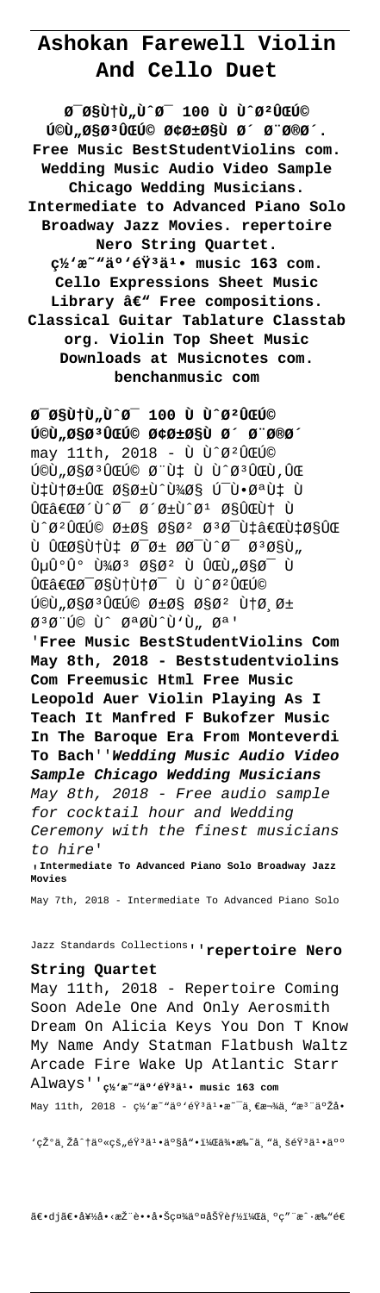# **Ashokan Farewell Violin And Cello Duet**

**0-0sùtù"ù^0- 100 ù ù^0ºûœú**© **کلاسیک آرا٠ش بخش. Free Music BestStudentViolins com. Wedding Music Audio Video Sample Chicago Wedding Musicians. Intermediate to Advanced Piano Solo Broadway Jazz Movies. repertoire Nero String Quartet.** c<sup>1</sup>⁄2'æ<sup>~ w</sup>ä°'éŸ<sup>3</sup>ä<sup>1</sup>• music 163 com. **Cello Expressions Sheet Music** Library â€<sup>w</sup> Free compositions. **Classical Guitar Tablature Classtab org. Violin Top Sheet Music Downloads at Musicnotes com. benchanmusic com**

**0-0sùtù"ù^0- 100 ù ù^0ºûœú**© **VOU,050<sup>3</sup> UCUC 040±05U 0 0 0 000** may 11th, 2018 - Ù Ù^Ø2ÛCÚ©  $\tilde{U}$ وَن به و  $\tilde{U}$ ون و  $\tilde{U}$  به و نهای و  $\tilde{U}$ ون به و نهای و  $\tilde{U}$ ون و نهای و نهای و نهای و نهای و نهای و نهای و نهای و نهای و نهای و نهای و نهای و نهای و نهای و نهای و نهای و نهای و نهای و نهای و نهای و  $\tilde{U}$   $\tilde{U}$   $\tilde{U}$   $\tilde{U}$   $\tilde{U}$   $\tilde{U}$   $\tilde{U}$   $\tilde{U}$   $\tilde{U}$   $\tilde{U}$   $\tilde{U}$   $\tilde{U}$   $\tilde{U}$   $\tilde{U}$   $\tilde{U}$   $\tilde{U}$   $\tilde{U}$   $\tilde{U}$   $\tilde{U}$   $\tilde{U}$   $\tilde{U}$   $\tilde{U}$   $\tilde{U}$   $\tilde{U}$   $\tilde{U$ ی‌Ø´Ù^Ø<sup>-</sup> شرÙ^Ø1 این Ù  $\tilde{U}$  ø 2 û tú© را اØ 2 Ø 3 Ø - Ù ‡â€ŒÙ ‡Ø§ÛŒ ù یانه Ø<sup>−</sup>ر ØØ<sup>−</sup>Ù^Ø<sup>−</sup> تاÙ"  $\hat{U}$ µÛ°Û° Ù¼Ø3 اØ2 ٠یلاØ<sup>-</sup> Ù  $\hat{U}$ câ $\in$ c $\varnothing$   $\varnothing$ gği $\uparrow$ ù $\uparrow$ ø  $\varnothing$   $\uparrow$ û $\varnothing$  $\tilde{U}$  ,  $\emptyset$   $\tilde{S}$   $\emptyset$   $\tilde{U}$   $\tilde{U}$   $\mathcal{O}$   $\mathcal{O}$   $\pm$   $\mathcal{O}$   $\tilde{S}$   $\mathcal{O}$   $\tilde{S}$   $\mathcal{O}$   $\tilde{S}$   $\mathcal{O}$   $\tilde{S}$   $\mathcal{O}$   $\tilde{S}$   $\mathcal{O}$   $\tilde{S}$   $\mathcal{O}$   $\tilde{S}$   $\tilde{S}$   $\tilde{S}$   $\tilde$  $\emptyset$ <sup>3</sup> $\emptyset$  "Ú© Ù^  $\emptyset$ <sup>a</sup> $\emptyset$ (Ù'Ù,  $\emptyset$ <sup>a</sup>' '**Free Music BestStudentViolins Com May 8th, 2018 - Beststudentviolins Com Freemusic Html Free Music Leopold Auer Violin Playing As I Teach It Manfred F Bukofzer Music In The Baroque Era From Monteverdi To Bach**''**Wedding Music Audio Video Sample Chicago Wedding Musicians** May 8th, 2018 - Free audio sample for cocktail hour and Wedding Ceremony with the finest musicians to hire' '**Intermediate To Advanced Piano Solo Broadway Jazz Movies** May 7th, 2018 - Intermediate To Advanced Piano Solo

May 11th, 2018 - Repertoire Coming Soon Adele One And Only Aerosmith Dream On Alicia Keys You Don T Know My Name Andy Statman Flatbush Waltz Arcade Fire Wake Up Atlantic Starr Always''**网易云音乕 music 163 com** May 11th, 2018 -  $\varphi$ ½'æ~"ä°'éŸ3ä1.æ~-ä,€æ¬¾ä,"æ3"ä°Žå.

'现ä,Žå^†ä°«çš"éŸ3ä1•ä°§å"•,侕æ‰~ä, "ä,šéŸ3ä1•ä°°

〕dj〕好å•<æŽ"蕕啊社䰤功èf½ï¼Œä °ç""æ^·æ‰"é€

Jazz Standards Collections''**repertoire Nero**

### **String Quartet**